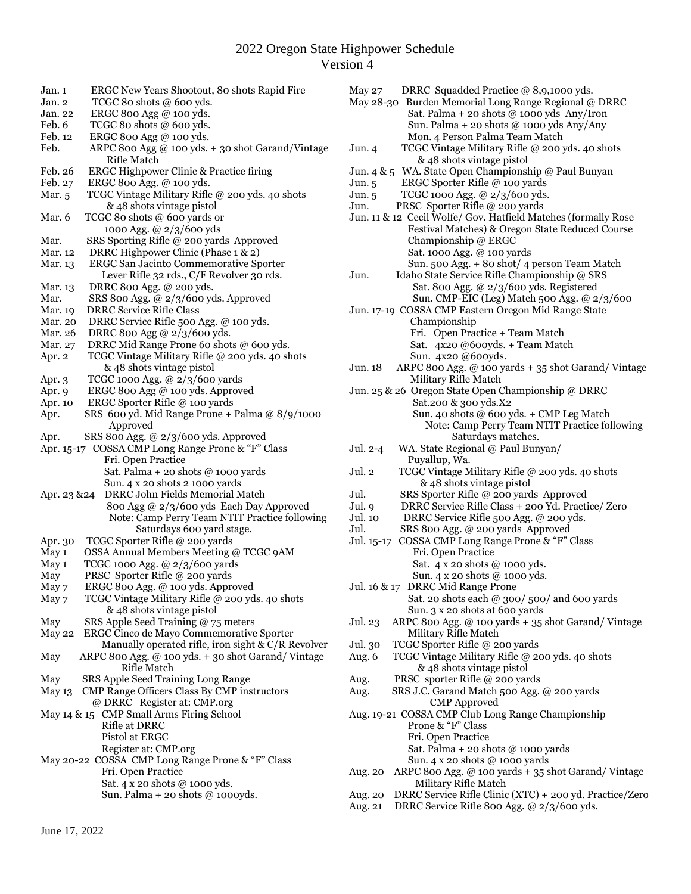### 2022 Oregon State Highpower Schedule Version 4

| Jan. 1                                                    | ERGC New Years Shootout, 80 shots Rapid Fire                                             |  |  |  |  |  |  |
|-----------------------------------------------------------|------------------------------------------------------------------------------------------|--|--|--|--|--|--|
| Jan. 2                                                    | TCGC 80 shots @ 600 yds.                                                                 |  |  |  |  |  |  |
| Jan. 22                                                   | ERGC 800 Agg @ 100 yds.                                                                  |  |  |  |  |  |  |
| Feb. 6                                                    | TCGC 80 shots @ 600 yds.                                                                 |  |  |  |  |  |  |
| Feb. 12                                                   | ERGC 800 Agg @ 100 yds.                                                                  |  |  |  |  |  |  |
| Feb.                                                      | ARPC 800 Agg @ 100 yds. + 30 shot Garand/Vintage                                         |  |  |  |  |  |  |
|                                                           | Rifle Match                                                                              |  |  |  |  |  |  |
| Feb. 26                                                   | ERGC Highpower Clinic & Practice firing                                                  |  |  |  |  |  |  |
| Feb. 27                                                   | ERGC 800 Agg. @ 100 yds.                                                                 |  |  |  |  |  |  |
| Mar. 5                                                    | TCGC Vintage Military Rifle @ 200 yds. 40 shots                                          |  |  |  |  |  |  |
|                                                           | & 48 shots vintage pistol                                                                |  |  |  |  |  |  |
| Mar. 6                                                    | TCGC 80 shots @ 600 yards or                                                             |  |  |  |  |  |  |
|                                                           | 1000 Agg. @ 2/3/600 yds                                                                  |  |  |  |  |  |  |
| Mar.                                                      | SRS Sporting Rifle @ 200 yards Approved                                                  |  |  |  |  |  |  |
| Mar. 12                                                   | DRRC Highpower Clinic (Phase 1 & 2)                                                      |  |  |  |  |  |  |
| Mar. 13                                                   | ERGC San Jacinto Commemorative Sporter                                                   |  |  |  |  |  |  |
|                                                           | Lever Rifle 32 rds., C/F Revolver 30 rds.                                                |  |  |  |  |  |  |
| Mar. 13                                                   | DRRC 800 Agg. @ 200 yds.                                                                 |  |  |  |  |  |  |
| Mar.                                                      | SRS 800 Agg. @ 2/3/600 yds. Approved<br><b>DRRC Service Rifle Class</b>                  |  |  |  |  |  |  |
| Mar. 19<br>Mar. 20                                        | DRRC Service Rifle 500 Agg. @ 100 yds.                                                   |  |  |  |  |  |  |
| Mar. 26                                                   |                                                                                          |  |  |  |  |  |  |
| Mar. 27                                                   | DRRC 800 Agg @ 2/3/600 yds.<br>DRRC Mid Range Prone 60 shots @ 600 yds.                  |  |  |  |  |  |  |
| Apr. 2                                                    | TCGC Vintage Military Rifle @ 200 yds. 40 shots                                          |  |  |  |  |  |  |
|                                                           | & 48 shots vintage pistol                                                                |  |  |  |  |  |  |
| Apr. 3                                                    | TCGC 1000 Agg. @ 2/3/600 yards                                                           |  |  |  |  |  |  |
| Apr. 9                                                    | ERGC 800 Agg @ 100 yds. Approved                                                         |  |  |  |  |  |  |
| Apr. 10                                                   | ERGC Sporter Rifle @ 100 yards                                                           |  |  |  |  |  |  |
| Apr.                                                      | SRS 600 yd. Mid Range Prone + Palma @ 8/9/1000                                           |  |  |  |  |  |  |
|                                                           | Approved                                                                                 |  |  |  |  |  |  |
| Apr.                                                      | SRS 800 Agg. @ 2/3/600 yds. Approved                                                     |  |  |  |  |  |  |
|                                                           | Apr. 15-17 COSSA CMP Long Range Prone & "F" Class                                        |  |  |  |  |  |  |
|                                                           | Fri. Open Practice                                                                       |  |  |  |  |  |  |
|                                                           | Sat. Palma + 20 shots $@$ 1000 yards                                                     |  |  |  |  |  |  |
|                                                           | Sun. 4 x 20 shots 2 1000 yards                                                           |  |  |  |  |  |  |
| Apr. 23 & 24                                              | DRRC John Fields Memorial Match                                                          |  |  |  |  |  |  |
|                                                           | 800 Agg @ 2/3/600 yds Each Day Approved                                                  |  |  |  |  |  |  |
|                                                           | Note: Camp Perry Team NTIT Practice following                                            |  |  |  |  |  |  |
|                                                           | Saturdays 600 yard stage.                                                                |  |  |  |  |  |  |
| Apr. 30                                                   | TCGC Sporter Rifle @ 200 yards                                                           |  |  |  |  |  |  |
| May 1                                                     | OSSA Annual Members Meeting @ TCGC 9AM                                                   |  |  |  |  |  |  |
| May 1                                                     | TCGC 1000 Agg. @ 2/3/600 yards                                                           |  |  |  |  |  |  |
| May                                                       | PRSC Sporter Rifle @ 200 yards                                                           |  |  |  |  |  |  |
| May 7                                                     | ERGC 800 Agg. @ 100 yds. Approved                                                        |  |  |  |  |  |  |
| May 7                                                     | TCGC Vintage Military Rifle @ 200 yds. 40 shots                                          |  |  |  |  |  |  |
|                                                           | & 48 shots vintage pistol                                                                |  |  |  |  |  |  |
| May                                                       | SRS Apple Seed Training @ 75 meters                                                      |  |  |  |  |  |  |
| May 22                                                    | ERGC Cinco de Mayo Commemorative Sporter                                                 |  |  |  |  |  |  |
|                                                           | Manually operated rifle, iron sight & C/R Revolver                                       |  |  |  |  |  |  |
| May                                                       | ARPC 800 Agg. @ 100 yds. + 30 shot Garand/Vintage                                        |  |  |  |  |  |  |
|                                                           | Rifle Match                                                                              |  |  |  |  |  |  |
| May                                                       | SRS Apple Seed Training Long Range<br>May 13 CMP Range Officers Class By CMP instructors |  |  |  |  |  |  |
|                                                           |                                                                                          |  |  |  |  |  |  |
| @ DRRC Register at: CMP.org                               |                                                                                          |  |  |  |  |  |  |
| May 14 & 15 CMP Small Arms Firing School<br>Rifle at DRRC |                                                                                          |  |  |  |  |  |  |
|                                                           | Pistol at ERGC                                                                           |  |  |  |  |  |  |
|                                                           | Register at: CMP.org                                                                     |  |  |  |  |  |  |
| May 20-22 COSSA CMP Long Range Prone & "F" Class          |                                                                                          |  |  |  |  |  |  |
|                                                           | Fri. Open Practice                                                                       |  |  |  |  |  |  |
|                                                           | Sat. 4 x 20 shots @ 1000 yds.                                                            |  |  |  |  |  |  |
|                                                           | Sun. Palma + 20 shots @ 1000yds.                                                         |  |  |  |  |  |  |
|                                                           |                                                                                          |  |  |  |  |  |  |
|                                                           |                                                                                          |  |  |  |  |  |  |

Jun. 4 TCGC Vintage Military Rifle @ 200 yds. 40 shots & 48 shots vintage pistol Jun. 4 & 5 WA. State Open Championship @ Paul Bunyan Jun. 5 ERGC Sporter Rifle @ 100 yards Jun. 5 TCGC 1000 Agg. @ 2/3/600 yds. Jun. PRSC Sporter Rifle @ 200 yards Jun. 11 & 12 Cecil Wolfe/ Gov. Hatfield Matches (formally Rose Festival Matches) & Oregon State Reduced Course Championship @ ERGC Sat. 1000 Agg. @ 100 yards Sun. 500 Agg. + 80 shot/ 4 person Team Match<br>Jun. Idaho State Service Rifle Championship @ SRS Idaho State Service Rifle Championship @ SRS Sat. 800 Agg. @ 2/3/600 yds. Registered Sun. CMP-EIC (Leg) Match 500 Agg. @ 2/3/600 Jun. 17-19 COSSA CMP Eastern Oregon Mid Range State Championship Fri. Open Practice + Team Match Sat. 4x20 @600yds. + Team Match Sun. 4x20 @600yds.<br>Jun. 18 ARPC 800 Agg. @ 100 ya. ARPC 800 Agg.  $@$  100 yards + 35 shot Garand/ Vintage Military Rifle Match Jun. 25 & 26 Oregon State Open Championship @ DRRC Sat.200 & 300 yds.X2 Sun. 40 shots @ 600 yds. + CMP Leg Match Note: Camp Perry Team NTIT Practice following Saturdays matches. Jul. 2-4 WA. State Regional @ Paul Bunyan/ Puyallup, Wa. Jul. 2 TCGC Vintage Military Rifle @ 200 yds. 40 shots & 48 shots vintage pistol Jul. SRS Sporter Rifle @ 200 yards Approved Jul. 9 DRRC Service Rifle Class + 200 Yd. Practice/ Zero Jul. 10 DRRC Service Rifle 500 Agg. @ 200 yds. Jul. SRS 800 Agg. @ 200 yards Approved Jul. 15-17 COSSA CMP Long Range Prone & "F" Class Fri. Open Practice Sat. 4 x 20 shots @ 1000 yds. Sun. 4 x 20 shots @ 1000 yds. Jul. 16 & 17 DRRC Mid Range Prone Sat. 20 shots each @ 300/ 500/ and 600 yards Sun. 3 x 20 shots at 600 yards Jul. 23 ARPC 800 Agg. @ 100 yards + 35 shot Garand/ Vintage Military Rifle Match Jul. 30 TCGC Sporter Rifle @ 200 yards Aug. 6 TCGC Vintage Military Rifle @ 200 yds. 40 shots & 48 shots vintage pistol Aug. PRSC sporter Rifle @ 200 yards Aug. SRS J.C. Garand Match 500 Agg. @ 200 yards CMP Approved Aug. 19-21 COSSA CMP Club Long Range Championship Prone & "F" Class Fri. Open Practice Sat. Palma + 20 shots  $\omega$  1000 yards Sun. 4 x 20 shots @ 1000 yards Aug. 20 ARPC 800 Agg. @ 100 yards + 35 shot Garand/ Vintage Military Rifle Match Aug. 20 DRRC Service Rifle Clinic (XTC) + 200 yd. Practice/Zero Aug. 21 DRRC Service Rifle 800 Agg. @ 2/3/600 yds.

May 27 DRRC Squadded Practice @ 8,9,1000 yds. May 28-30 Burden Memorial Long Range Regional @ DRRC Sat. Palma + 20 shots  $\omega$  1000 yds Any/Iron Sun. Palma + 20 shots @ 1000 yds Any/Any

Mon. 4 Person Palma Team Match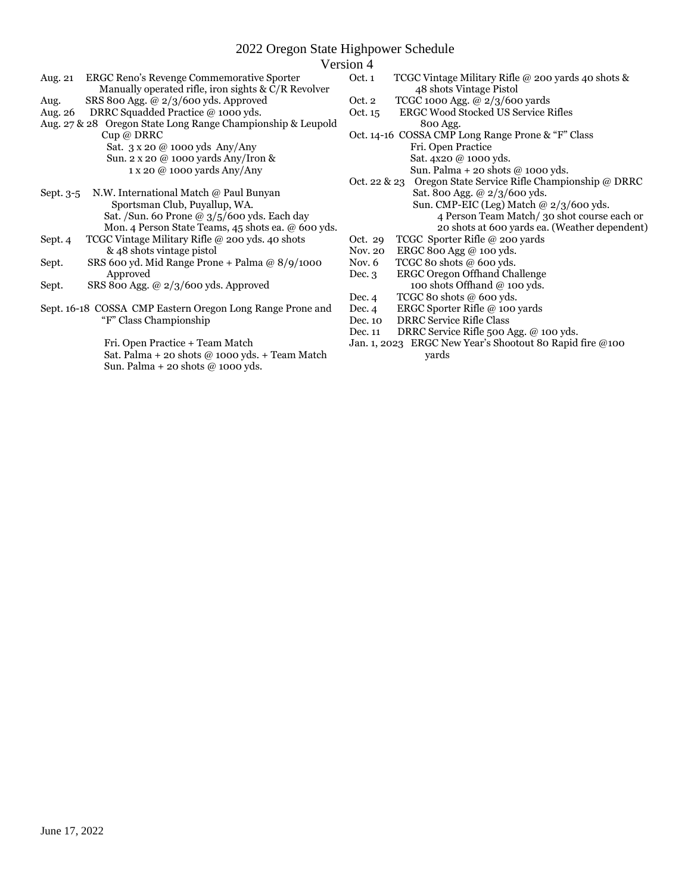# 2022 Oregon State Highpower Schedule

#### Version 4

| Aug. 21                                                     | ERGC Reno's Revenge Commemorative Sporter<br>Manually operated rifle, iron sights $& C/R$ Revolver |  |  |  |  |  |  |
|-------------------------------------------------------------|----------------------------------------------------------------------------------------------------|--|--|--|--|--|--|
| Aug.                                                        | SRS 800 Agg. @ $2/3/600$ yds. Approved                                                             |  |  |  |  |  |  |
|                                                             | Aug. 26 DRRC Squadded Practice @ 1000 yds.                                                         |  |  |  |  |  |  |
| Aug. 27 & 28 Oregon State Long Range Championship & Leupold |                                                                                                    |  |  |  |  |  |  |
| Cup @ DRRC                                                  |                                                                                                    |  |  |  |  |  |  |
|                                                             | Sat. 3 x 20 @ 1000 yds Any/Any                                                                     |  |  |  |  |  |  |
|                                                             | Sun. 2 x 20 @ 1000 yards Any/Iron &                                                                |  |  |  |  |  |  |
|                                                             | 1 x 20 @ 1000 yards Any/Any                                                                        |  |  |  |  |  |  |
|                                                             |                                                                                                    |  |  |  |  |  |  |
| N.W. International Match @ Paul Bunyan<br>Sept. 3-5         |                                                                                                    |  |  |  |  |  |  |
|                                                             | Sportsman Club, Puyallup, WA.                                                                      |  |  |  |  |  |  |
|                                                             | Sat. / Sun. 60 Prone @ 3/5/600 yds. Each day                                                       |  |  |  |  |  |  |
|                                                             | Mon. 4 Person State Teams, 45 shots ea. @ 600 yds.                                                 |  |  |  |  |  |  |
| Sept. 4                                                     | TCGC Vintage Military Rifle @ 200 yds. 40 shots                                                    |  |  |  |  |  |  |
|                                                             | & 48 shots vintage pistol                                                                          |  |  |  |  |  |  |
| Sept.                                                       | SRS 600 yd. Mid Range Prone + Palma @ 8/9/1000                                                     |  |  |  |  |  |  |
|                                                             | Approved                                                                                           |  |  |  |  |  |  |
| Sept.                                                       | SRS 800 Agg. @ $2/3/600$ yds. Approved                                                             |  |  |  |  |  |  |

Sept. 16-18 COSSA CMP Eastern Oregon Long Range Prone and "F" Class Championship

Fri. Open Practice + Team Match

 Sat. Palma + 20 shots @ 1000 yds. + Team Match Sun. Palma + 20 shots @ 1000 yds.

- Oct. 1 TCGC Vintage Military Rifle @ 200 yards 40 shots & 48 shots Vintage Pistol
- Oct. 2 TCGC 1000 Agg. @ 2/3/600 yards
- Oct. 15 ERGC Wood Stocked US Service Rifles 800 Agg.
- Oct. 14-16 COSSA CMP Long Range Prone & "F" Class
	- Fri. Open Practice
	- Sat. 4x20 @ 1000 yds.
	- Sun. Palma + 20 shots @ 1000 yds.
- Oct. 22 & 23 Oregon State Service Rifle Championship @ DRRC Sat. 800 Agg. @ 2/3/600 yds. Sun. CMP-EIC (Leg) Match @ 2/3/600 yds.
	- 4 Person Team Match/ 30 shot course each or 20 shots at 600 yards ea. (Weather dependent)
- Oct. 29 TCGC Sporter Rifle @ 200 yards<br>Nov. 20 ERGC 800 Agg @ 100 yds.
- ERGC 800 Agg  $@$  100 yds.
- Nov. 6 TCGC 80 shots @ 600 yds.
- Dec. 3 ERGC Oregon Offhand Challenge 100 shots Offhand @ 100 yds.
- Dec. 4 TCGC 80 shots @ 600 yds.
- Dec. 4 ERGC Sporter Rifle @ 100 yards
- Dec. 10 DRRC Service Rifle Class
- Dec. 11 DRRC Service Rifle 500 Agg. @ 100 yds.
- Jan. 1, 2023 ERGC New Year's Shootout 80 Rapid fire @100 yards